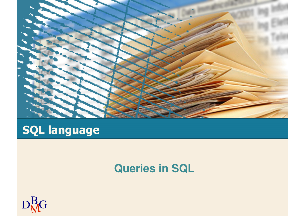

# **SQL language**

#### **Queries in SQL**

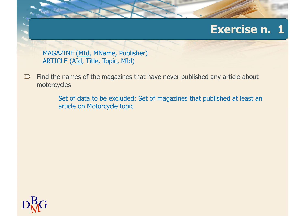MAGAZINE (MId, MName, Publisher)ARTICLE (AId, Title, Topic, MId)

Find the names of the magazines that have never published any article about  $\sum$ motorcycles

> Set of data to be excluded: Set of magazines that published at least an article on Motorcycle topic

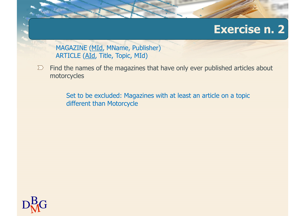MAGAZINE (MId, MName, Publisher)ARTICLE (AId, Title, Topic, MId)

Find the names of the magazines that have only ever published articles about  $\sum$ motorcycles

> Set to be excluded: Magazines with at least an article on a topic different than Motorcycle

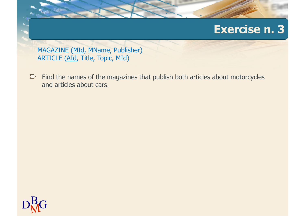MAGAZINE (MId, MName, Publisher)ARTICLE (AId, Title, Topic, MId)

Find the names of the magazines that publish both articles about motorcycles  $\sum$ and articles about cars.

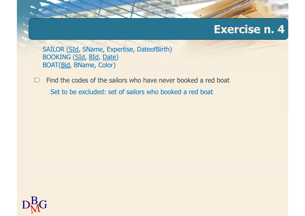SAILOR (SId, SName, Expertise, DateofBirth) BOOKING (SId, BId, Date)BOAT(Bid, BName, Color)

Find the codes of the sailors who have never booked a red boat $\sum$ Set to be excluded: set of sailors who booked a red boat

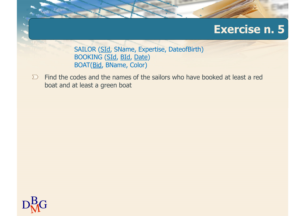SAILOR (SId, SName, Expertise, DateofBirth) BOOKING (SId, BId, Date)BOAT(Bid, BName, Color)

Find the codes and the names of the sailors who have booked at least a red  $\sum$ boat and at least a green boat